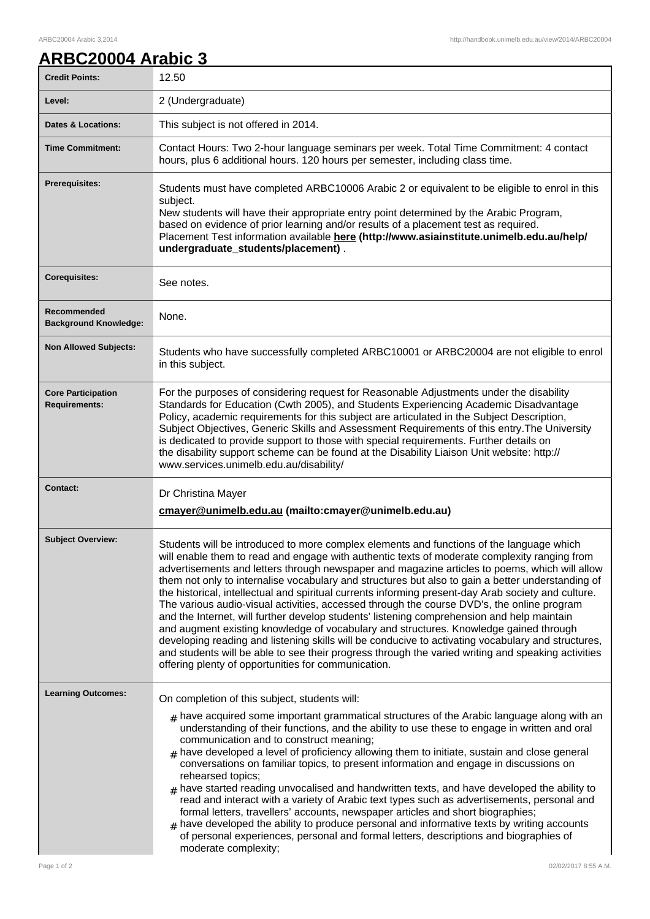## ARBC20004 Arabic 3,2014 http://handbook.unimelb.edu.au/view/2014/ARBC20004

| ARBC20004 Arabic 3 |  |
|--------------------|--|
|                    |  |

| <b>Credit Points:</b>                             | 12.50                                                                                                                                                                                                                                                                                                                                                                                                                                                                                                                                                                                                                                                                                                                                                                                                                                                                                                                                                                                                                                                         |
|---------------------------------------------------|---------------------------------------------------------------------------------------------------------------------------------------------------------------------------------------------------------------------------------------------------------------------------------------------------------------------------------------------------------------------------------------------------------------------------------------------------------------------------------------------------------------------------------------------------------------------------------------------------------------------------------------------------------------------------------------------------------------------------------------------------------------------------------------------------------------------------------------------------------------------------------------------------------------------------------------------------------------------------------------------------------------------------------------------------------------|
| Level:                                            | 2 (Undergraduate)                                                                                                                                                                                                                                                                                                                                                                                                                                                                                                                                                                                                                                                                                                                                                                                                                                                                                                                                                                                                                                             |
| <b>Dates &amp; Locations:</b>                     | This subject is not offered in 2014.                                                                                                                                                                                                                                                                                                                                                                                                                                                                                                                                                                                                                                                                                                                                                                                                                                                                                                                                                                                                                          |
| <b>Time Commitment:</b>                           | Contact Hours: Two 2-hour language seminars per week. Total Time Commitment: 4 contact<br>hours, plus 6 additional hours. 120 hours per semester, including class time.                                                                                                                                                                                                                                                                                                                                                                                                                                                                                                                                                                                                                                                                                                                                                                                                                                                                                       |
| <b>Prerequisites:</b>                             | Students must have completed ARBC10006 Arabic 2 or equivalent to be eligible to enrol in this<br>subject.<br>New students will have their appropriate entry point determined by the Arabic Program,<br>based on evidence of prior learning and/or results of a placement test as required.<br>Placement Test information available here (http://www.asiainstitute.unimelb.edu.au/help/<br>undergraduate_students/placement).                                                                                                                                                                                                                                                                                                                                                                                                                                                                                                                                                                                                                                  |
| <b>Corequisites:</b>                              | See notes.                                                                                                                                                                                                                                                                                                                                                                                                                                                                                                                                                                                                                                                                                                                                                                                                                                                                                                                                                                                                                                                    |
| Recommended<br><b>Background Knowledge:</b>       | None.                                                                                                                                                                                                                                                                                                                                                                                                                                                                                                                                                                                                                                                                                                                                                                                                                                                                                                                                                                                                                                                         |
| <b>Non Allowed Subjects:</b>                      | Students who have successfully completed ARBC10001 or ARBC20004 are not eligible to enrol<br>in this subject.                                                                                                                                                                                                                                                                                                                                                                                                                                                                                                                                                                                                                                                                                                                                                                                                                                                                                                                                                 |
| <b>Core Participation</b><br><b>Requirements:</b> | For the purposes of considering request for Reasonable Adjustments under the disability<br>Standards for Education (Cwth 2005), and Students Experiencing Academic Disadvantage<br>Policy, academic requirements for this subject are articulated in the Subject Description,<br>Subject Objectives, Generic Skills and Assessment Requirements of this entry. The University<br>is dedicated to provide support to those with special requirements. Further details on<br>the disability support scheme can be found at the Disability Liaison Unit website: http://<br>www.services.unimelb.edu.au/disability/                                                                                                                                                                                                                                                                                                                                                                                                                                              |
| <b>Contact:</b>                                   | Dr Christina Mayer<br>cmayer@unimelb.edu.au (mailto:cmayer@unimelb.edu.au)                                                                                                                                                                                                                                                                                                                                                                                                                                                                                                                                                                                                                                                                                                                                                                                                                                                                                                                                                                                    |
| <b>Subject Overview:</b>                          | Students will be introduced to more complex elements and functions of the language which<br>will enable them to read and engage with authentic texts of moderate complexity ranging from<br>advertisements and letters through newspaper and magazine articles to poems, which will allow<br>them not only to internalise vocabulary and structures but also to gain a better understanding of<br>the historical, intellectual and spiritual currents informing present-day Arab society and culture.<br>The various audio-visual activities, accessed through the course DVD's, the online program<br>and the Internet, will further develop students' listening comprehension and help maintain<br>and augment existing knowledge of vocabulary and structures. Knowledge gained through<br>developing reading and listening skills will be conducive to activating vocabulary and structures,<br>and students will be able to see their progress through the varied writing and speaking activities<br>offering plenty of opportunities for communication. |
| <b>Learning Outcomes:</b>                         | On completion of this subject, students will:<br>$_{\#}$ have acquired some important grammatical structures of the Arabic language along with an<br>understanding of their functions, and the ability to use these to engage in written and oral<br>communication and to construct meaning;<br>$#$ have developed a level of proficiency allowing them to initiate, sustain and close general<br>conversations on familiar topics, to present information and engage in discussions on<br>rehearsed topics;<br>$#$ have started reading unvocalised and handwritten texts, and have developed the ability to<br>read and interact with a variety of Arabic text types such as advertisements, personal and<br>formal letters, travellers' accounts, newspaper articles and short biographies;<br>$#$ have developed the ability to produce personal and informative texts by writing accounts<br>of personal experiences, personal and formal letters, descriptions and biographies of<br>moderate complexity;                                               |